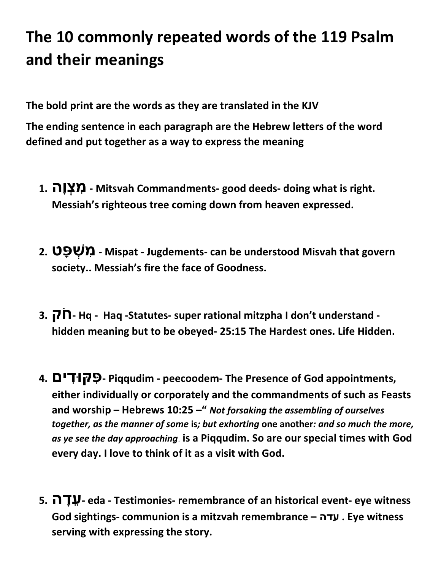## The 10 commonly repeated words of the 119 Psalm and their meanings

The bold print are the words as they are translated in the KJV

The ending sentence in each paragraph are the Hebrew letters of the word defined and put together as a way to express the meaning

- 1. והָצְ מִ Mitsvah Commandments- good deeds- doing what is right. Messiah's righteous tree coming down from heaven expressed.
- 2. פּטָ שְׁ מִ Mispat Jugdements- can be understood Misvah that govern society.. Messiah's fire the face of Goodness.
- 3. חקֹ Hq Haq -Statutes- super rational mitzpha I don't understand hidden meaning but to be obeyed- 25:15 The Hardest ones. Life Hidden.
- 4. דיםִפּקּוִּ Piqqudim peecoodem- The Presence of God appointments, either individually or corporately and the commandments of such as Feasts and worship – Hebrews 10:25 –" Not forsaking the assembling of ourselves together, as the manner of some is; but exhorting one another: and so much the more, as ye see the day approaching. is a Piqqudim. So are our special times with God every day. I love to think of it as a visit with God.
- 5. דהָעֵ eda Testimonies- remembrance of an historical event- eye witness God sightings- communion is a mitzvah remembrance – עדה . Eye witness serving with expressing the story.